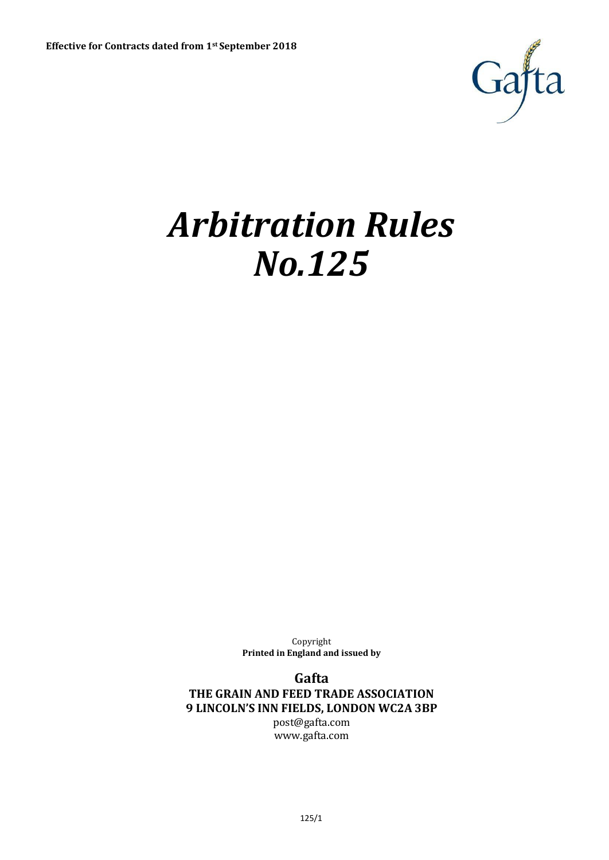

# *Arbitration Rules No.125*

Copyright **Printed in England and issued by**

**Gafta THE GRAIN AND FEED TRADE ASSOCIATION 9 LINCOLN'S INN FIELDS, LONDON WC2A 3BP** [post@gafta.com](mailto:post@gafta.com)

[www.gafta.com](http://www.gafta.com/)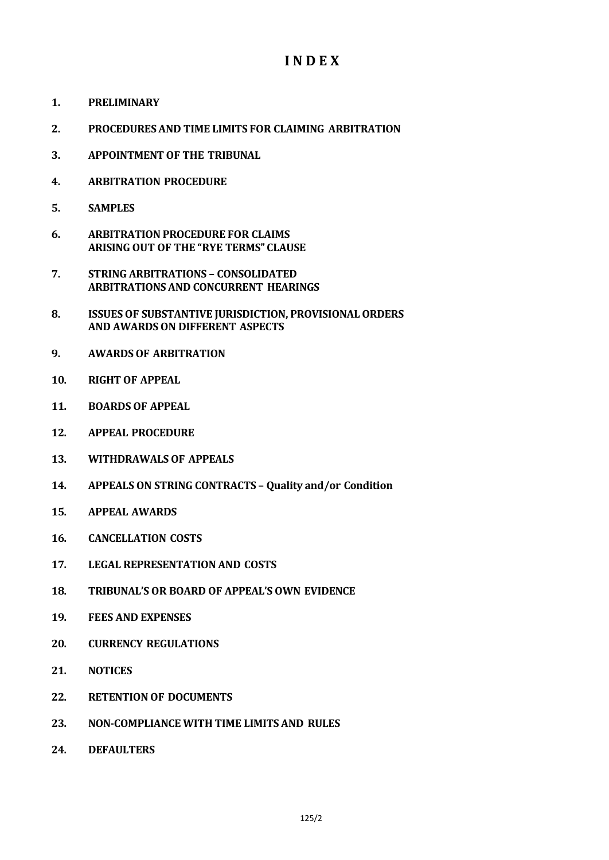# **I N D E X**

- **1. PRELIMINARY**
- **2. PROCEDURES AND TIME LIMITS FOR CLAIMING ARBITRATION**
- **3. APPOINTMENT OF THE TRIBUNAL**
- **4. ARBITRATION PROCEDURE**
- **5. SAMPLES**
- **6. ARBITRATION PROCEDURE FOR CLAIMS ARISING OUT OF THE "RYE TERMS" CLAUSE**
- **7. STRING ARBITRATIONS – CONSOLIDATED ARBITRATIONS AND CONCURRENT HEARINGS**
- **8. ISSUES OF SUBSTANTIVE JURISDICTION, PROVISIONAL ORDERS AND AWARDS ON DIFFERENT ASPECTS**
- **9. AWARDS OF ARBITRATION**
- **10. RIGHT OF APPEAL**
- **11. BOARDS OF APPEAL**
- **12. APPEAL PROCEDURE**
- **13. WITHDRAWALS OF APPEALS**
- **14. APPEALS ON STRING CONTRACTS – Quality and/or Condition**
- **15. APPEAL AWARDS**
- **16. CANCELLATION COSTS**
- **17. LEGAL REPRESENTATION AND COSTS**
- **18. TRIBUNAL'S OR BOARD OF APPEAL'S OWN EVIDENCE**
- **19. FEES AND EXPENSES**
- **20. CURRENCY REGULATIONS**
- **21. NOTICES**
- **22. RETENTION OF DOCUMENTS**
- **23. NON-COMPLIANCE WITH TIME LIMITS AND RULES**
- **24. DEFAULTERS**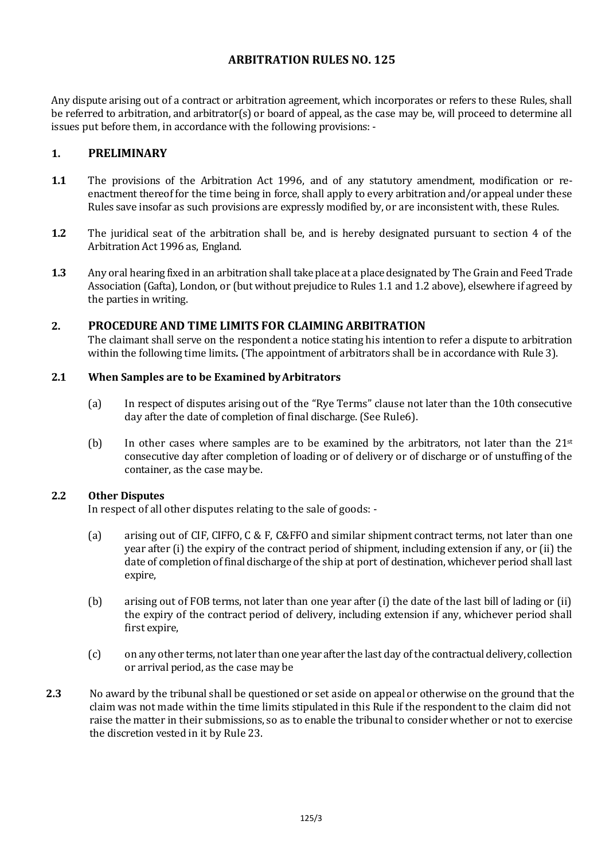## **ARBITRATION RULES NO. 125**

Any dispute arising out of a contract or arbitration agreement, which incorporates or refers to these Rules, shall be referred to arbitration, and arbitrator(s) or board of appeal, as the case may be, will proceed to determine all issues put before them, in accordance with the following provisions: -

## **1. PRELIMINARY**

- **1.1** The provisions of the Arbitration Act 1996, and of any statutory amendment, modification or reenactment thereof for the time being in force, shall apply to every arbitration and/or appeal under these Rules save insofar as such provisions are expressly modified by, or are inconsistent with, these Rules.
- **1.2** The juridical seat of the arbitration shall be, and is hereby designated pursuant to section 4 of the Arbitration Act 1996 as, England.
- **1.3** Any oral hearing fixed in an arbitration shall take place at a place designated by The Grain and Feed Trade Association (Gafta), London, or (but without prejudice to Rules 1.1 and 1.2 above), elsewhere if agreed by the parties in writing.

## **2. PROCEDURE AND TIME LIMITS FOR CLAIMING ARBITRATION**

The claimant shall serve on the respondent a notice stating his intention to refer a dispute to arbitration within the following time limits*.* (The appointment of arbitrators shall be in accordance with Rule 3).

#### **2.1 When Samples are to be Examined byArbitrators**

- (a) In respect of disputes arising out of the "Rye Terms" clause not later than the 10th consecutive day after the date of completion of final discharge. (See Rule6).
- (b) In other cases where samples are to be examined by the arbitrators, not later than the  $21^{st}$ consecutive day after completion of loading or of delivery or of discharge or of unstuffing of the container, as the case maybe.

## **2.2 Other Disputes**

In respect of all other disputes relating to the sale of goods: -

- (a) arising out of CIF, CIFFO, C & F, C&FFO and similar shipment contract terms, not later than one year after (i) the expiry of the contract period of shipment, including extension if any, or (ii) the date of completion of final discharge of the ship at port of destination, whichever period shall last expire,
- (b) arising out of FOB terms, not later than one year after (i) the date of the last bill of lading or (ii) the expiry of the contract period of delivery, including extension if any, whichever period shall first expire,
- (c) on any other terms, not later than one year after the last day of the contractual delivery, collection or arrival period, as the case may be
- **2.3** No award by the tribunal shall be questioned or set aside on appeal or otherwise on the ground that the claim was not made within the time limits stipulated in this Rule if the respondent to the claim did not raise the matter in their submissions, so as to enable the tribunal to consider whether or not to exercise the discretion vested in it by Rule 23.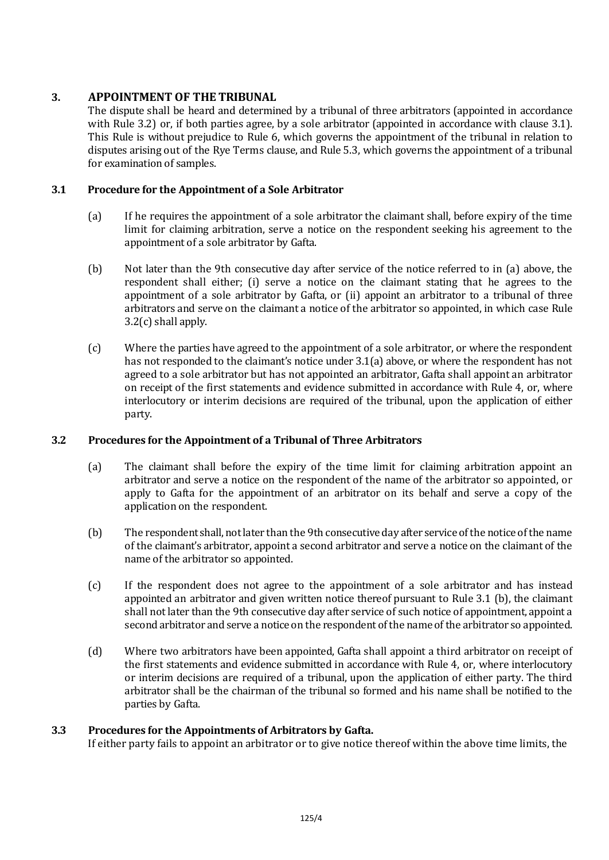## **3. APPOINTMENT OF THE TRIBUNAL**

The dispute shall be heard and determined by a tribunal of three arbitrators (appointed in accordance with Rule 3.2) or, if both parties agree, by a sole arbitrator (appointed in accordance with clause 3.1). This Rule is without prejudice to Rule 6, which governs the appointment of the tribunal in relation to disputes arising out of the Rye Terms clause, and Rule 5.3, which governs the appointment of a tribunal for examination of samples.

## **3.1 Procedure for the Appointment of a Sole Arbitrator**

- (a) If he requires the appointment of a sole arbitrator the claimant shall, before expiry of the time limit for claiming arbitration, serve a notice on the respondent seeking his agreement to the appointment of a sole arbitrator by Gafta.
- (b) Not later than the 9th consecutive day after service of the notice referred to in (a) above, the respondent shall either; (i) serve a notice on the claimant stating that he agrees to the appointment of a sole arbitrator by Gafta, or (ii) appoint an arbitrator to a tribunal of three arbitrators and serve on the claimant a notice of the arbitrator so appointed, in which case Rule 3.2(c) shall apply.
- (c) Where the parties have agreed to the appointment of a sole arbitrator, or where the respondent has not responded to the claimant's notice under 3.1(a) above, or where the respondent has not agreed to a sole arbitrator but has not appointed an arbitrator, Gafta shall appoint an arbitrator on receipt of the first statements and evidence submitted in accordance with Rule 4, or, where interlocutory or interim decisions are required of the tribunal, upon the application of either party.

## **3.2 Procedures for the Appointment of a Tribunal of Three Arbitrators**

- (a) The claimant shall before the expiry of the time limit for claiming arbitration appoint an arbitrator and serve a notice on the respondent of the name of the arbitrator so appointed, or apply to Gafta for the appointment of an arbitrator on its behalf and serve a copy of the application on the respondent.
- (b) The respondent shall, not later than the 9th consecutive day after service of the notice of the name of the claimant's arbitrator, appoint a second arbitrator and serve a notice on the claimant of the name of the arbitrator so appointed.
- (c) If the respondent does not agree to the appointment of a sole arbitrator and has instead appointed an arbitrator and given written notice thereof pursuant to Rule 3.1 (b), the claimant shall not later than the 9th consecutive day after service of such notice of appointment, appoint a second arbitrator and serve a notice on the respondent of the name of the arbitrator so appointed.
- (d) Where two arbitrators have been appointed, Gafta shall appoint a third arbitrator on receipt of the first statements and evidence submitted in accordance with Rule 4, or, where interlocutory or interim decisions are required of a tribunal, upon the application of either party. The third arbitrator shall be the chairman of the tribunal so formed and his name shall be notified to the parties by Gafta.

## **3.3 Procedures for the Appointments of Arbitrators by Gafta.**

If either party fails to appoint an arbitrator or to give notice thereof within the above time limits, the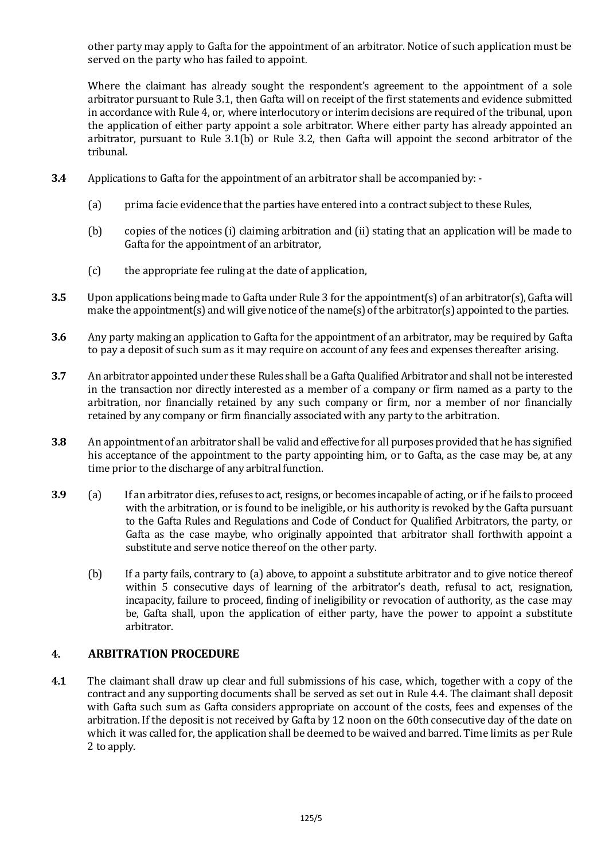other party may apply to Gafta for the appointment of an arbitrator. Notice of such application must be served on the party who has failed to appoint.

Where the claimant has already sought the respondent's agreement to the appointment of a sole arbitrator pursuant to Rule 3.1, then Gafta will on receipt of the first statements and evidence submitted in accordance with Rule 4, or, where interlocutory or interim decisions are required of the tribunal, upon the application of either party appoint a sole arbitrator. Where either party has already appointed an arbitrator, pursuant to Rule 3.1(b) or Rule 3.2, then Gafta will appoint the second arbitrator of the tribunal.

- **3.4** Applications to Gafta for the appointment of an arbitrator shall be accompanied by:-
	- (a) prima facie evidence that the parties have entered into a contract subject to these Rules,
	- (b) copies of the notices (i) claiming arbitration and (ii) stating that an application will be made to Gafta for the appointment of an arbitrator,
	- (c) the appropriate fee ruling at the date of application,
- **3.5** Upon applications being made to Gafta under Rule 3 for the appointment(s) of an arbitrator(s), Gafta will make the appointment(s) and will give notice of the name(s) of the arbitrator(s) appointed to the parties.
- **3.6** Any party making an application to Gafta for the appointment of an arbitrator, may be required by Gafta to pay a deposit of such sum as it may require on account of any fees and expenses thereafter arising.
- **3.7** An arbitrator appointed under these Rules shall be a Gafta Qualified Arbitrator and shall not be interested in the transaction nor directly interested as a member of a company or firm named as a party to the arbitration, nor financially retained by any such company or firm, nor a member of nor financially retained by any company or firm financially associated with any party to the arbitration.
- **3.8** An appointment of an arbitrator shall be valid and effective for all purposes provided that he has signified his acceptance of the appointment to the party appointing him, or to Gafta, as the case may be, at any time prior to the discharge of any arbitral function.
- **3.9** (a) If an arbitrator dies, refuses to act, resigns, or becomes incapable of acting, or if he fails to proceed with the arbitration, or is found to be ineligible, or his authority is revoked by the Gafta pursuant to the Gafta Rules and Regulations and Code of Conduct for Qualified Arbitrators, the party, or Gafta as the case maybe, who originally appointed that arbitrator shall forthwith appoint a substitute and serve notice thereof on the other party.
	- (b) If a party fails, contrary to (a) above, to appoint a substitute arbitrator and to give notice thereof within 5 consecutive days of learning of the arbitrator's death, refusal to act, resignation, incapacity, failure to proceed, finding of ineligibility or revocation of authority, as the case may be, Gafta shall, upon the application of either party, have the power to appoint a substitute arbitrator.

# **4. ARBITRATION PROCEDURE**

**4.1** The claimant shall draw up clear and full submissions of his case, which, together with a copy of the contract and any supporting documents shall be served as set out in Rule 4.4. The claimant shall deposit with Gafta such sum as Gafta considers appropriate on account of the costs, fees and expenses of the arbitration. If the deposit is not received by Gafta by 12 noon on the 60th consecutive day of the date on which it was called for, the application shall be deemed to be waived and barred. Time limits as per Rule 2 to apply.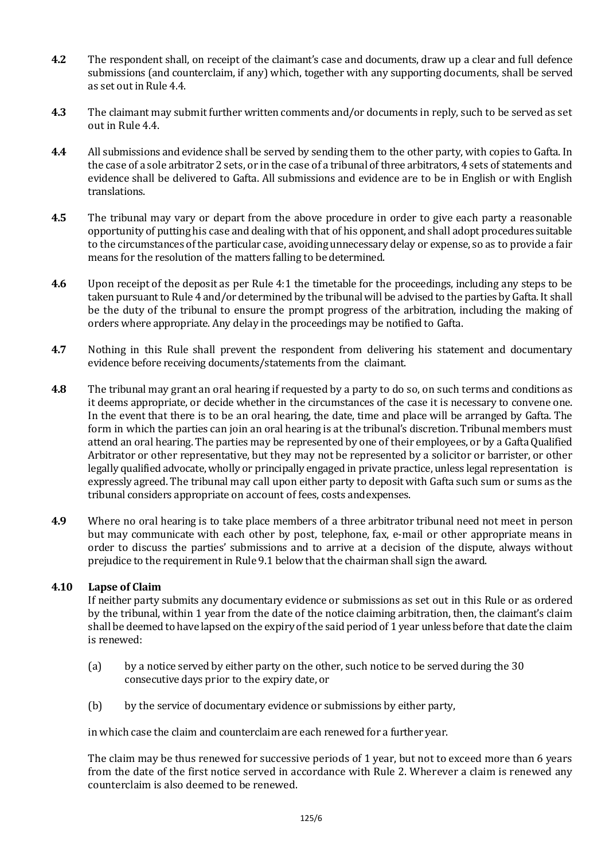- **4.2** The respondent shall, on receipt of the claimant's case and documents, draw up a clear and full defence submissions (and counterclaim, if any) which, together with any supporting documents, shall be served as set outin Rule 4.4.
- **4.3** The claimant may submit further written comments and/or documents in reply, such to be served as set out in Rule 4.4.
- **4.4** All submissions and evidence shall be served by sending them to the other party, with copies to Gafta. In the case of a sole arbitrator 2 sets, or in the case of a tribunal of three arbitrators, 4 sets of statements and evidence shall be delivered to Gafta. All submissions and evidence are to be in English or with English translations.
- **4.5** The tribunal may vary or depart from the above procedure in order to give each party a reasonable opportunity of putting his case and dealing with that of his opponent, and shall adopt procedures suitable to the circumstances of the particular case, avoiding unnecessary delay or expense, so as to provide a fair means for the resolution of the matters falling to bedetermined.
- **4.6** Upon receipt of the deposit as per Rule 4:1 the timetable for the proceedings, including any steps to be taken pursuant to Rule 4 and/or determined by the tribunal will be advised to the parties by Gafta. It shall be the duty of the tribunal to ensure the prompt progress of the arbitration, including the making of orders where appropriate. Any delay in the proceedings may be notified to Gafta.
- **4.7** Nothing in this Rule shall prevent the respondent from delivering his statement and documentary evidence before receiving documents/statements from the claimant.
- **4.8** The tribunal may grant an oral hearing if requested by a party to do so, on such terms and conditions as it deems appropriate, or decide whether in the circumstances of the case it is necessary to convene one. In the event that there is to be an oral hearing, the date, time and place will be arranged by Gafta. The form in which the parties can join an oral hearing is at the tribunal's discretion. Tribunal members must attend an oral hearing. The parties may be represented by one of their employees, or by a GaftaQualified Arbitrator or other representative, but they may not be represented by a solicitor or barrister, or other legally qualified advocate, wholly or principally engaged in private practice, unless legal representation is expressly agreed. The tribunal may call upon either party to deposit with Gafta such sum or sums as the tribunal considers appropriate on account of fees, costs andexpenses.
- **4.9** Where no oral hearing is to take place members of a three arbitrator tribunal need not meet in person but may communicate with each other by post, telephone, fax, e-mail or other appropriate means in order to discuss the parties' submissions and to arrive at a decision of the dispute, always without prejudice to the requirementin Rule 9.1 belowthat the chairman shall sign the award.

## **4.10 Lapse of Claim**

If neither party submits any documentary evidence or submissions as set out in this Rule or as ordered by the tribunal, within 1 year from the date of the notice claiming arbitration, then, the claimant's claim shall be deemed to have lapsed on the expiry of the said period of 1 year unless before that date the claim is renewed:

- (a) by a notice served by either party on the other, such notice to be served during the 30 consecutive days prior to the expiry date, or
- (b) by the service of documentary evidence or submissions by either party,

in which case the claim and counterclaim are each renewed for a further year.

The claim may be thus renewed for successive periods of 1 year, but not to exceed more than 6 years from the date of the first notice served in accordance with Rule 2. Wherever a claim is renewed any counterclaim is also deemed to be renewed.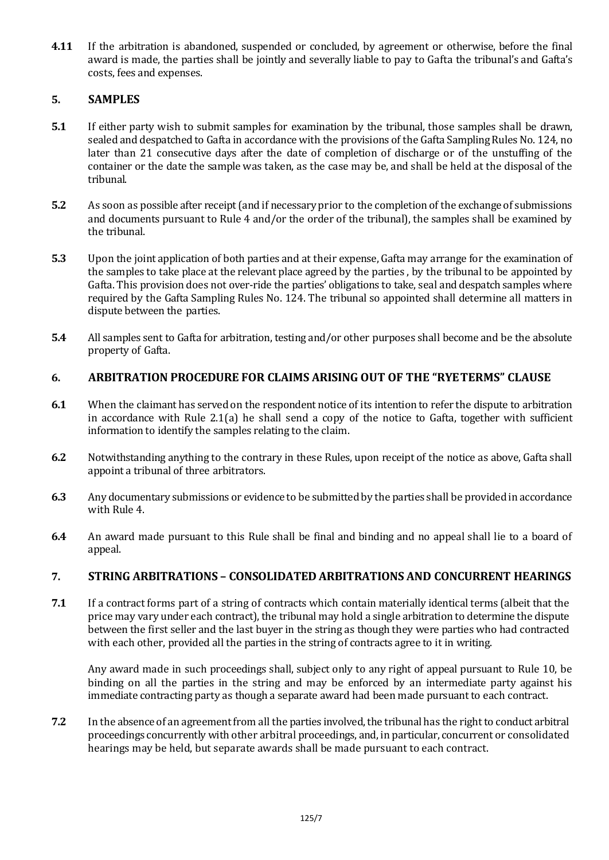**4.11** If the arbitration is abandoned, suspended or concluded, by agreement or otherwise, before the final award is made, the parties shall be jointly and severally liable to pay to Gafta the tribunal's and Gafta's costs, fees and expenses.

# **5. SAMPLES**

- **5.1** If either party wish to submit samples for examination by the tribunal, those samples shall be drawn, sealed and despatched to Gafta in accordance with the provisions of the Gafta Sampling Rules No. 124, no later than 21 consecutive days after the date of completion of discharge or of the unstuffing of the container or the date the sample was taken, as the case may be, and shall be held at the disposal of the tribunal.
- **5.2** As soon as possible after receipt(and if necessary prior to the completion of the exchange of submissions and documents pursuant to Rule 4 and/or the order of the tribunal), the samples shall be examined by the tribunal.
- **5.3** Upon the joint application of both parties and at their expense, Gafta may arrange for the examination of the samples to take place at the relevant place agreed by the parties , by the tribunal to be appointed by Gafta. This provision does not over-ride the parties' obligations to take, seal and despatch samples where required by the Gafta Sampling Rules No. 124. The tribunal so appointed shall determine all matters in dispute between the parties.
- **5.4** All samples sent to Gafta for arbitration, testing and/or other purposes shall become and be the absolute property of Gafta.

## **6. ARBITRATION PROCEDURE FOR CLAIMS ARISING OUT OF THE "RYETERMS" CLAUSE**

- **6.1** When the claimant has served on the respondent notice of its intention to refer the dispute to arbitration in accordance with Rule  $2.1(a)$  he shall send a copy of the notice to Gafta, together with sufficient information to identify the samples relating to the claim.
- **6.2** Notwithstanding anything to the contrary in these Rules, upon receipt of the notice as above, Gafta shall appoint a tribunal of three arbitrators.
- **6.3** Any documentary submissions or evidence to be submitted by the parties shall be provided in accordance with Rule 4.
- **6.4** An award made pursuant to this Rule shall be final and binding and no appeal shall lie to a board of appeal.

## **7. STRING ARBITRATIONS – CONSOLIDATED ARBITRATIONS AND CONCURRENT HEARINGS**

**7.1** If a contract forms part of a string of contracts which contain materially identical terms (albeit that the price may vary under each contract), the tribunal may hold a single arbitration to determine the dispute between the first seller and the last buyer in the string as though they were parties who had contracted with each other, provided all the parties in the string of contracts agree to it in writing.

Any award made in such proceedings shall, subject only to any right of appeal pursuant to Rule 10, be binding on all the parties in the string and may be enforced by an intermediate party against his immediate contracting party as though a separate award had been made pursuant to each contract.

**7.2** In the absence of an agreement from all the parties involved, the tribunal has the right to conduct arbitral proceedings concurrently with other arbitral proceedings, and, in particular, concurrent or consolidated hearings may be held, but separate awards shall be made pursuant to each contract.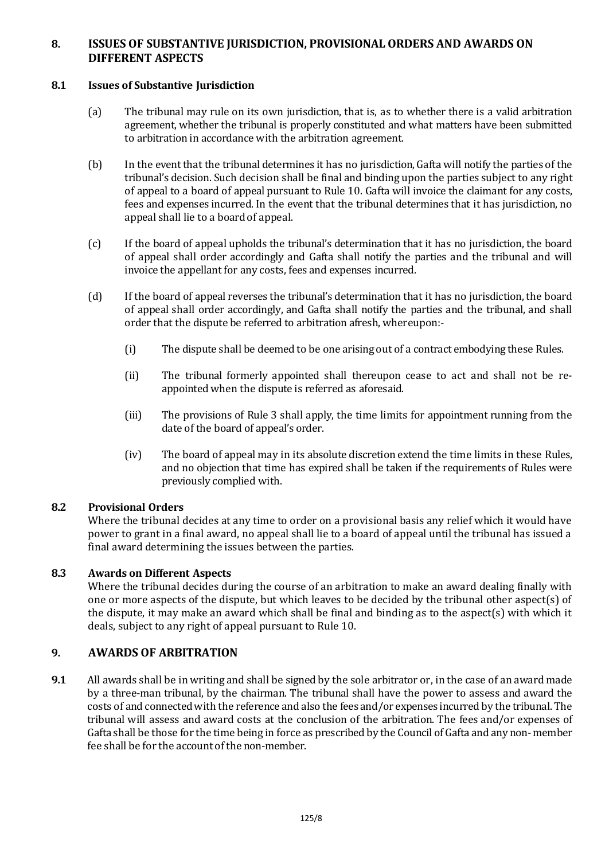## **8. ISSUES OF SUBSTANTIVE JURISDICTION, PROVISIONAL ORDERS AND AWARDS ON DIFFERENT ASPECTS**

## **8.1 Issues of Substantive Jurisdiction**

- (a) The tribunal may rule on its own jurisdiction, that is, as to whether there is a valid arbitration agreement, whether the tribunal is properly constituted and what matters have been submitted to arbitration in accordance with the arbitration agreement.
- (b) In the eventthat the tribunal determines it has no jurisdiction,Gafta will notify the parties of the tribunal's decision. Such decision shall be final and binding upon the parties subject to any right of appeal to a board of appeal pursuant to Rule 10. Gafta will invoice the claimant for any costs, fees and expenses incurred. In the event that the tribunal determines that it has jurisdiction, no appeal shall lie to a board of appeal.
- (c) If the board of appeal upholds the tribunal's determination that it has no jurisdiction, the board of appeal shall order accordingly and Gafta shall notify the parties and the tribunal and will invoice the appellant for any costs, fees and expenses incurred.
- (d) If the board of appeal reverses the tribunal's determination that it has no jurisdiction, the board of appeal shall order accordingly, and Gafta shall notify the parties and the tribunal, and shall order that the dispute be referred to arbitration afresh, whereupon:-
	- (i) The dispute shall be deemed to be one arising out of a contract embodying these Rules.
	- (ii) The tribunal formerly appointed shall thereupon cease to act and shall not be reappointed when the dispute is referred as aforesaid.
	- (iii) The provisions of Rule 3 shall apply, the time limits for appointment running from the date of the board of appeal's order.
	- (iv) The board of appeal may in its absolute discretion extend the time limits in these Rules, and no objection that time has expired shall be taken if the requirements of Rules were previously complied with.

## **8.2 Provisional Orders**

Where the tribunal decides at any time to order on a provisional basis any relief which it would have power to grant in a final award, no appeal shall lie to a board of appeal until the tribunal has issued a final award determining the issues between the parties.

## **8.3 Awards on Different Aspects**

Where the tribunal decides during the course of an arbitration to make an award dealing finally with one or more aspects of the dispute, but which leaves to be decided by the tribunal other aspect(s) of the dispute, it may make an award which shall be final and binding as to the aspect(s) with which it deals, subject to any right of appeal pursuant to Rule 10.

# **9. AWARDS OF ARBITRATION**

**9.1** All awards shall be in writing and shall be signed by the sole arbitrator or, in the case of an award made by a three-man tribunal, by the chairman. The tribunal shall have the power to assess and award the costs of and connected with the reference and also the fees and/or expenses incurred by the tribunal. The tribunal will assess and award costs at the conclusion of the arbitration. The fees and/or expenses of Gafta shall be those for the time being in force as prescribed by the Council of Gafta and any non- member fee shall be for the account of the non-member.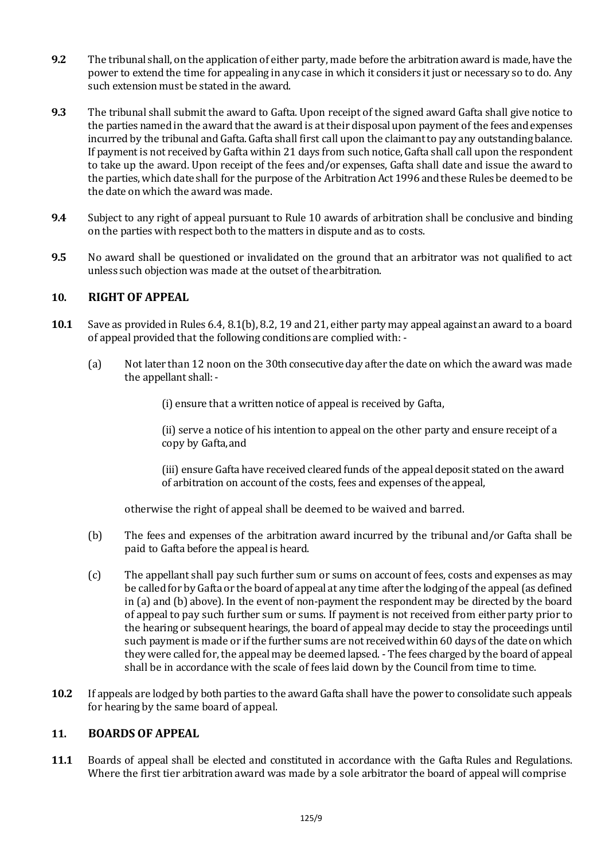- **9.2** The tribunal shall, on the application of either party, made before the arbitration award is made, have the power to extend the time for appealing in any case in which it considers it just or necessary so to do. Any such extension must be stated in the award.
- **9.3** The tribunal shall submit the award to Gafta. Upon receipt of the signed award Gafta shall give notice to the parties named in the award that the award is at their disposalupon payment of the fees and expenses incurred by the tribunal and Gafta. Gafta shall first call upon the claimant to pay any outstanding balance. If payment is not received by Gafta within 21 days from such notice, Gafta shall call upon the respondent to take up the award. Upon receipt of the fees and/or expenses, Gafta shall date and issue the award to the parties, which date shall for the purpose of the Arbitration Act 1996 and these Rules be deemed to be the date on which the award was made.
- **9.4** Subject to any right of appeal pursuant to Rule 10 awards of arbitration shall be conclusive and binding on the parties with respect both to the matters in dispute and as to costs.
- **9.5** No award shall be questioned or invalidated on the ground that an arbitrator was not qualified to act unless such objection was made at the outset of thearbitration.

## **10. RIGHT OF APPEAL**

- **10.1** Save as provided in Rules 6.4, 8.1(b), 8.2, 19 and 21, either party may appeal against an award to a board of appeal provided that the following conditions are complied with: -
	- (a) Not later than 12 noon on the 30th consecutive day after the date on which the award was made the appellant shall:-

(i) ensure that a written notice of appeal is received by Gafta,

(ii) serve a notice of his intention to appeal on the other party and ensure receipt of a copy by Gafta,and

(iii) ensure Gafta have received cleared funds of the appeal deposit stated on the award of arbitration on account of the costs, fees and expenses of the appeal,

otherwise the right of appeal shall be deemed to be waived and barred.

- (b) The fees and expenses of the arbitration award incurred by the tribunal and/or Gafta shall be paid to Gafta before the appeal is heard.
- (c) The appellant shall pay such further sum or sums on account of fees, costs and expenses as may be called for by Gafta or the board of appeal at any time after the lodging of the appeal(as defined in (a) and (b) above). In the event of non-payment the respondent may be directed by the board of appeal to pay such further sum or sums. If payment is not received from either party prior to the hearing or subsequent hearings, the board of appeal may decide to stay the proceedings until such payment is made or if the further sums are not received within 60 days of the date on which they were called for, the appeal may be deemed lapsed. - The fees charged by the board of appeal shall be in accordance with the scale of fees laid down by the Council from time to time.
- **10.2** If appeals are lodged by both parties to the award Gafta shall have the power to consolidate such appeals for hearing by the same board of appeal.

## **11. BOARDS OF APPEAL**

**11.1** Boards of appeal shall be elected and constituted in accordance with the Gafta Rules and Regulations. Where the first tier arbitration award was made by a sole arbitrator the board of appeal will comprise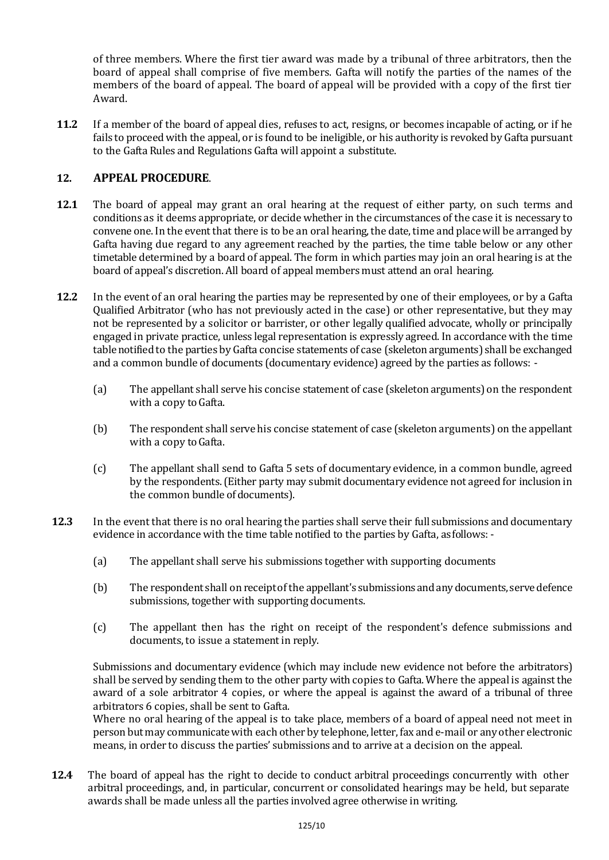of three members. Where the first tier award was made by a tribunal of three arbitrators, then the board of appeal shall comprise of five members. Gafta will notify the parties of the names of the members of the board of appeal. The board of appeal will be provided with a copy of the first tier Award.

**11.2** If a member of the board of appeal dies, refuses to act, resigns, or becomes incapable of acting, or if he fails to proceed with the appeal, or is found to be ineligible, or his authority is revoked by Gafta pursuant to the Gafta Rules and Regulations Gafta will appoint a substitute.

# **12. APPEAL PROCEDURE**.

- **12.1** The board of appeal may grant an oral hearing at the request of either party, on such terms and conditions as it deems appropriate, or decide whether in the circumstances of the case it is necessary to convene one. In the event that there is to be an oral hearing, the date, time and place will be arranged by Gafta having due regard to any agreement reached by the parties, the time table below or any other timetable determined by a board of appeal. The form in which parties may join an oral hearing is at the board of appeal's discretion. All board of appeal members must attend an oral hearing.
- **12.2** In the event of an oral hearing the parties may be represented by one of their employees, or by a Gafta Qualified Arbitrator (who has not previously acted in the case) or other representative, but they may not be represented by a solicitor or barrister, or other legally qualified advocate, wholly or principally engaged in private practice, unless legal representation is expressly agreed. In accordance with the time table notified to the parties by Gafta concise statements of case (skeletonarguments) shall be exchanged and a common bundle of documents (documentary evidence) agreed by the parties as follows: -
	- (a) The appellant shall serve his concise statement of case (skeleton arguments) on the respondent with a copy to Gafta.
	- (b) The respondent shall serve his concise statement of case (skeleton arguments) on the appellant with a copy to Gafta.
	- (c) The appellant shall send to Gafta 5 sets of documentary evidence, in a common bundle, agreed by the respondents. (Either party may submit documentary evidence not agreed for inclusion in the common bundle of documents).
- **12.3** In the event that there is no oral hearing the parties shall serve their full submissions and documentary evidence in accordance with the time table notified to the parties by Gafta, asfollows: -
	- (a) The appellant shall serve his submissions together with supporting documents
	- (b) The respondent shall on receiptof the appellant's submissions andanydocuments, servedefence submissions, together with supporting documents.
	- (c) The appellant then has the right on receipt of the respondent's defence submissions and documents, to issue a statement in reply.

Submissions and documentary evidence (which may include new evidence not before the arbitrators) shall be served by sending them to the other party with copies to Gafta. Where the appeal is against the award of a sole arbitrator 4 copies, or where the appeal is against the award of a tribunal of three arbitrators 6 copies, shall be sent to Gafta.

Where no oral hearing of the appeal is to take place, members of a board of appeal need not meet in person but may communicate with each other by telephone, letter, fax and e-mail or any other electronic means, in order to discuss the parties' submissions and to arrive at a decision on the appeal.

**12.4** The board of appeal has the right to decide to conduct arbitral proceedings concurrently with other arbitral proceedings, and, in particular, concurrent or consolidated hearings may be held, but separate awards shall be made unless all the parties involved agree otherwise in writing.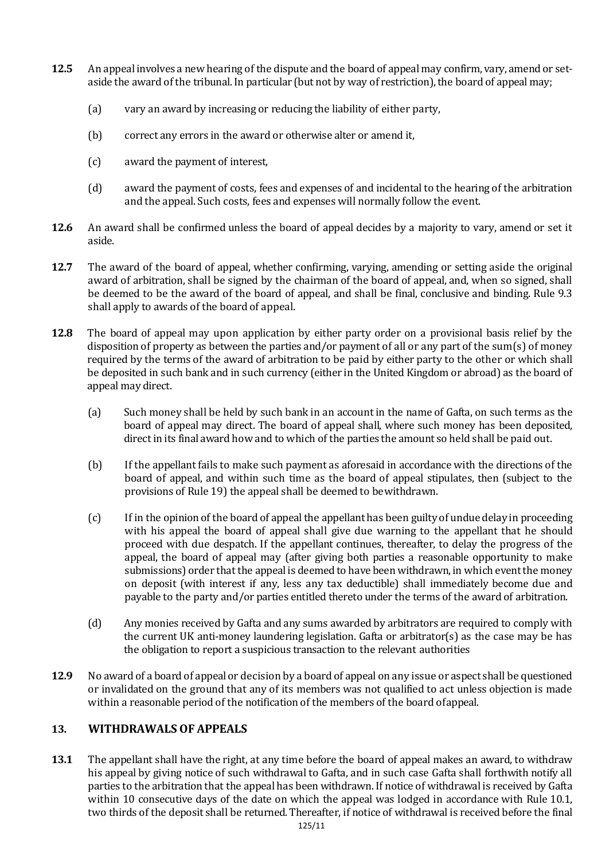- **12.5** An appeal involves a new hearing of the dispute and the board of appeal may confirm, vary, amend or setaside the award of the tribunal. In particular (but not by way of restriction), the board of appeal may;
	- (a) vary an award by increasing or reducing the liability of either party,
	- (b) correct any errors in the award or otherwise alter or amend it,
	- (c) award the payment of interest,
	- (d) award the payment of costs, fees and expenses of and incidental to the hearing of the arbitration and the appeal. Such costs, fees and expenses will normally follow the event.
- **12.6** An award shall be confirmed unless the board of appeal decides by a majority to vary, amend or set it aside.
- **12.7** The award of the board of appeal, whether confirming, varying, amending or setting aside the original award of arbitration, shall be signed by the chairman of the board of appeal, and, when so signed, shall be deemed to be the award of the board of appeal, and shall be final, conclusive and binding. Rule 9.3 shall apply to awards of the board of appeal.
- **12.8** The board of appeal may upon application by either party order on a provisional basis relief by the disposition of property as between the parties and/or payment of all or any part of the sum(s) of money required by the terms of the award of arbitration to be paid by either party to the other or which shall be deposited in such bank and in such currency (either in the United Kingdom or abroad) as the board of appeal may direct.
	- (a) Such money shall be held by such bank in an account in the name of Gafta, on such terms as the board of appeal may direct. The board of appeal shall, where such money has been deposited, directin its final award how and to which of the parties the amount so held shall be paid out.
	- (b) If the appellant fails to make such payment as aforesaid in accordance with the directions of the board of appeal, and within such time as the board of appeal stipulates, then (subject to the provisions of Rule 19) the appeal shall be deemed to bewithdrawn.
	- (c) If in the opinionof the board of appealthe appellant has been guilty of undue delay in proceeding with his appeal the board of appeal shall give due warning to the appellant that he should proceed with due despatch. If the appellant continues, thereafter, to delay the progress of the appeal, the board of appeal may (after giving both parties a reasonable opportunity to make submissions) order that the appeal is deemed to have been withdrawn, in which event the money on deposit (with interest if any, less any tax deductible) shall immediately become due and payable to the party and/or parties entitled thereto under the terms of the award of arbitration.
	- (d) Any monies received by Gafta and any sums awarded by arbitrators are required to comply with the current UK anti-money laundering legislation. Gafta or arbitrator(s) as the case may be has the obligation to report a suspicious transaction to the relevant authorities
- **12.9** No award of a board of appealor decision by a board of appeal on any issue or aspect shall be questioned or invalidated on the ground that any of its members was not qualified to act unless objection is made within a reasonable period of the notification of the members of the board ofappeal.

# **13. WITHDRAWALS OF APPEALS**

**13.1** The appellant shall have the right, at any time before the board of appeal makes an award, to withdraw his appeal by giving notice of such withdrawal to Gafta, and in such case Gafta shall forthwith notify all parties to the arbitration that the appeal has been withdrawn. If notice of withdrawal is received by Gafta within 10 consecutive days of the date on which the appeal was lodged in accordance with Rule 10.1, two thirds of the deposit shall be returned. Thereafter, if notice of withdrawal is received before the final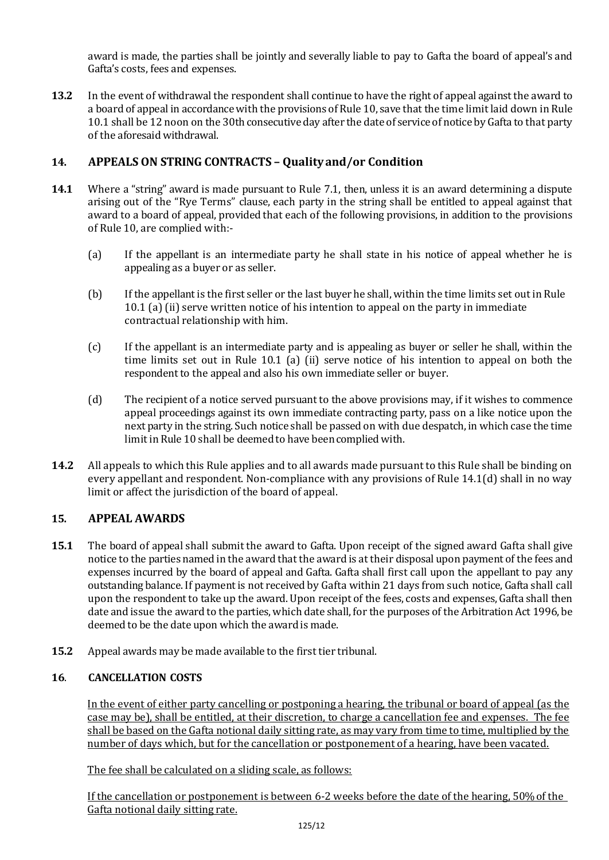award is made, the parties shall be jointly and severally liable to pay to Gafta the board of appeal's and Gafta's costs, fees and expenses.

**13.2** In the event of withdrawal the respondent shall continue to have the right of appeal against the award to a board of appeal in accordance with the provisions of Rule 10, save that the time limit laid down in Rule 10.1 shall be 12 noon on the 30th consecutive day after the date of service of notice by Gafta to that party of the aforesaid withdrawal.

# **14. APPEALS ON STRING CONTRACTS – Qualityand/or Condition**

- **14.1** Where a "string" award is made pursuant to Rule 7.1, then, unless it is an award determining a dispute arising out of the "Rye Terms" clause, each party in the string shall be entitled to appeal against that award to a board of appeal, provided that each of the following provisions, in addition to the provisions of Rule 10, are complied with:-
	- (a) If the appellant is an intermediate party he shall state in his notice of appeal whether he is appealing as a buyer or as seller.
	- (b) If the appellantis the first seller or the last buyer he shall, within the time limits set out in Rule 10.1 (a) (ii) serve written notice of his intention to appeal on the party in immediate contractual relationship with him.
	- (c) If the appellant is an intermediate party and is appealing as buyer or seller he shall, within the time limits set out in Rule 10.1 (a) (ii) serve notice of his intention to appeal on both the respondent to the appeal and also his own immediate seller or buyer.
	- (d) The recipient of a notice served pursuant to the above provisions may, if it wishes to commence appeal proceedings against its own immediate contracting party, pass on a like notice upon the next party in the string. Such notice shall be passed on with due despatch, in which case the time limit in Rule 10 shall be deemed to have been complied with.
- **14.2** All appeals to which this Rule applies and to all awards made pursuant to this Rule shall be binding on every appellant and respondent. Non-compliance with any provisions of Rule 14.1(d) shall in no way limit or affect the jurisdiction of the board of appeal.

# **15. APPEAL AWARDS**

- **15.1** The board of appeal shall submit the award to Gafta. Upon receipt of the signed award Gafta shall give notice to the parties named in the award that the award is at their disposal upon payment of the fees and expenses incurred by the board of appeal and Gafta. Gafta shall first call upon the appellant to pay any outstanding balance. If paymentis not received by Gafta within 21 days from such notice, Gafta shall call upon the respondent to take up the award. Upon receipt of the fees, costs and expenses, Gafta shall then date and issue the award to the parties, which date shall, for the purposes of the Arbitration Act 1996, be deemed to be the date upon which the award is made.
- **15.2** Appeal awards may be made available to the first tier tribunal.

# **16**. **CANCELLATION COSTS**

In the event of either party cancelling or postponing a hearing, the tribunal or board of appeal (as the case may be), shall be entitled, at their discretion, to charge a cancellation fee and expenses. The fee shall be based on the Gafta notional daily sitting rate, as may vary from time to time, multiplied by the number of days which, but for the cancellation or postponement of a hearing, have been vacated.

The fee shall be calculated on a sliding scale, as follows:

If the cancellation or postponement is between 6-2 weeks before the date of the hearing, 50%of the Gafta notional daily sitting rate.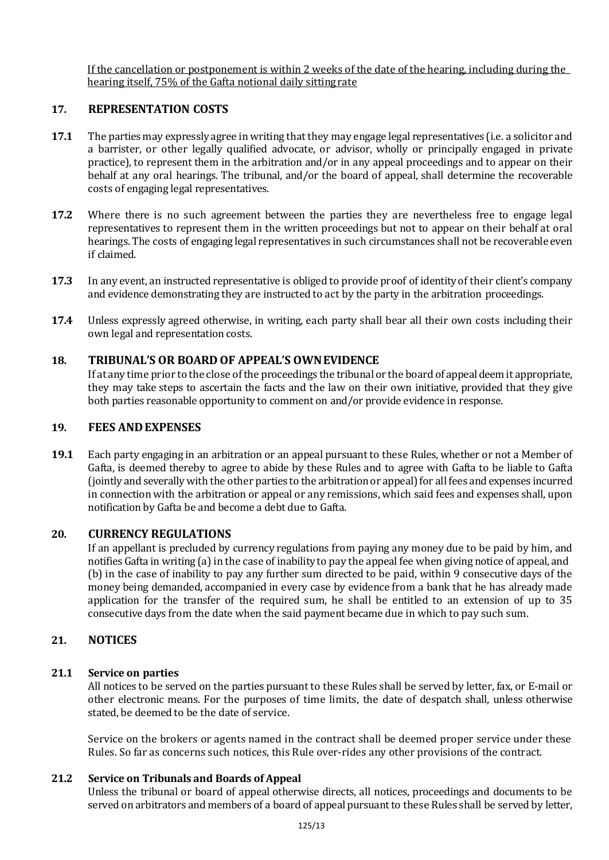If the cancellation or postponement is within 2 weeks of the date of the hearing, including during the hearing itself, 75% of the Gafta notional daily sittingrate

#### **17. REPRESENTATION COSTS**

- **17.1** The parties may expressly agree in writing that they may engage legal representatives (i.e. a solicitor and a barrister, or other legally qualified advocate, or advisor, wholly or principally engaged in private practice), to represent them in the arbitration and/or in any appeal proceedings and to appear on their behalf at any oral hearings. The tribunal, and/or the board of appeal, shall determine the recoverable costs of engaging legal representatives.
- **17.2** Where there is no such agreement between the parties they are nevertheless free to engage legal representatives to represent them in the written proceedings but not to appear on their behalf at oral hearings. The costs of engaging legal representatives in such circumstances shall not be recoverable even if claimed.
- **17.3** In any event, an instructed representative is obliged to provide proof of identity of their client's company and evidence demonstrating they are instructed to act by the party in the arbitration proceedings.
- **17.4** Unless expressly agreed otherwise, in writing, each party shall bear all their own costs including their own legal and representation costs.

## **18. TRIBUNAL'S OR BOARD OF APPEAL'S OWNEVIDENCE**

If at any time prior to the close of the proceedings the tribunal or the board of appeal deem it appropriate, they may take steps to ascertain the facts and the law on their own initiative, provided that they give both parties reasonable opportunity to comment on and/or provide evidence in response.

## **19. FEES ANDEXPENSES**

**19.1** Each party engaging in an arbitration or an appeal pursuant to these Rules, whether or not a Member of Gafta, is deemed thereby to agree to abide by these Rules and to agree with Gafta to be liable to Gafta (jointly and severally with the other parties to the arbitration or appeal) for all fees and expenses incurred in connection with the arbitration or appeal or any remissions, which said fees and expenses shall, upon notification by Gafta be and become a debt due to Gafta.

#### **20. CURRENCY REGULATIONS**

If an appellant is precluded by currency regulations from paying any money due to be paid by him, and notifies Gafta in writing (a) in the case of inability to pay the appeal fee when giving notice of appeal, and (b) in the case of inability to pay any further sum directed to be paid, within 9 consecutive days of the money being demanded, accompanied in every case by evidence from a bank that he has already made application for the transfer of the required sum, he shall be entitled to an extension of up to 35 consecutive days from the date when the said payment became due in which to pay such sum.

## **21. NOTICES**

#### **21.1 Service on parties**

All notices to be served on the parties pursuant to these Rules shall be served by letter, fax, or E-mail or other electronic means. For the purposes of time limits, the date of despatch shall, unless otherwise stated, be deemed to be the date of service.

Service on the brokers or agents named in the contract shall be deemed proper service under these Rules. So far as concerns such notices, this Rule over-rides any other provisions of the contract.

## **21.2 Service on Tribunals and Boards of Appeal**

Unless the tribunal or board of appeal otherwise directs, all notices, proceedings and documents to be served on arbitrators and members of a board of appeal pursuantto these Rules shall be served by letter,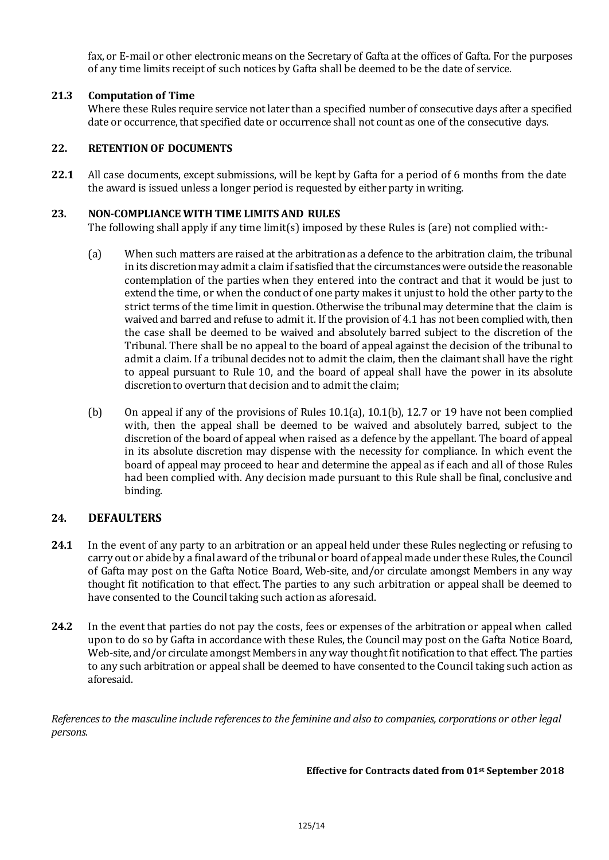fax, or E-mail or other electronic means on the Secretary of Gafta at the offices of Gafta. For the purposes of any time limits receipt of such notices by Gafta shall be deemed to be the date of service.

## **21.3 Computation of Time**

Where these Rules require service not later than a specified number of consecutive days after a specified date or occurrence, that specified date or occurrence shall not count as one of the consecutive days.

## **22. RETENTION OF DOCUMENTS**

**22.1** All case documents, except submissions, will be kept by Gafta for a period of 6 months from the date the award is issued unless a longer period is requested by either party in writing.

## **23. NON-COMPLIANCE WITH TIME LIMITS AND RULES**

The following shall apply if any time limit(s) imposed by these Rules is (are) not complied with:-

- (a) When such matters are raised at the arbitration as a defence to the arbitration claim, the tribunal in its discretion may admit a claim if satisfied that the circumstances were outside the reasonable contemplation of the parties when they entered into the contract and that it would be just to extend the time, or when the conduct of one party makes it unjust to hold the other party to the strict terms of the time limit in question. Otherwise the tribunal may determine that the claim is waived and barred and refuse to admit it. If the provision of 4.1 has not been complied with, then the case shall be deemed to be waived and absolutely barred subject to the discretion of the Tribunal. There shall be no appeal to the board of appeal against the decision of the tribunal to admit a claim. If a tribunal decides not to admit the claim, then the claimant shall have the right to appeal pursuant to Rule 10, and the board of appeal shall have the power in its absolute discretion to overturn that decision and to admit the claim;
- (b) On appeal if any of the provisions of Rules 10.1(a), 10.1(b), 12.7 or 19 have not been complied with, then the appeal shall be deemed to be waived and absolutely barred, subject to the discretion of the board of appeal when raised as a defence by the appellant. The board of appeal in its absolute discretion may dispense with the necessity for compliance. In which event the board of appeal may proceed to hear and determine the appeal as if each and all of those Rules had been complied with. Any decision made pursuant to this Rule shall be final, conclusive and binding.

# **24. DEFAULTERS**

- **24.1** In the event of any party to an arbitration or an appeal held under these Rules neglecting or refusing to carry out or abide by a final award of the tribunal or board of appeal made under these Rules, the Council of Gafta may post on the Gafta Notice Board, Web-site, and/or circulate amongst Members in any way thought fit notification to that effect. The parties to any such arbitration or appeal shall be deemed to have consented to the Council taking such action as aforesaid.
- **24.2** In the event that parties do not pay the costs, fees or expenses of the arbitration or appeal when called upon to do so by Gafta in accordance with these Rules, the Council may post on the Gafta Notice Board, Web-site, and/or circulate amongst Members in any way thought fit notification to that effect. The parties to any such arbitration or appeal shall be deemed to have consented to the Council taking such action as aforesaid.

*References to the masculine include references to the feminine and also to companies, corporations or other legal persons.*

**Effective for Contracts dated from 01st September 2018**